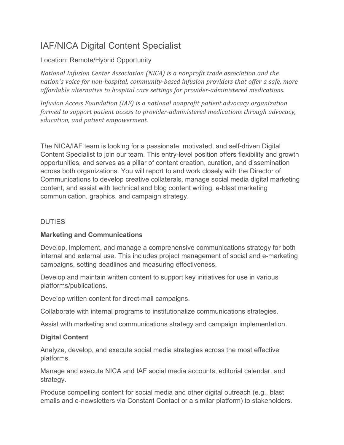# IAF/NICA Digital Content Specialist

### Location: Remote/Hybrid Opportunity

*National Infusion Center Association (NICA) is a nonprofit trade association and the nation's voice for non-hospital, community-based infusion providers that offer a safe, more affordable alternative to hospital care settings for provider-administered medications.*

*Infusion Access Foundation (IAF) is a national nonprofit patient advocacy organization formed to support patient access to provider-administered medications through advocacy, education, and patient empowerment.*

The NICA/IAF team is looking for a passionate, motivated, and self-driven Digital Content Specialist to join our team. This entry-level position offers flexibility and growth opportunities, and serves as a pillar of content creation, curation, and dissemination across both organizations. You will report to and work closely with the Director of Communications to develop creative collaterals, manage social media digital marketing content, and assist with technical and blog content writing, e-blast marketing communication, graphics, and campaign strategy.

#### DUTIES

## **Marketing and Communications**

Develop, implement, and manage a comprehensive communications strategy for both internal and external use. This includes project management of social and e-marketing campaigns, setting deadlines and measuring effectiveness.

Develop and maintain written content to support key initiatives for use in various platforms/publications.

Develop written content for direct-mail campaigns.

Collaborate with internal programs to institutionalize communications strategies.

Assist with marketing and communications strategy and campaign implementation.

## **Digital Content**

Analyze, develop, and execute social media strategies across the most effective platforms.

Manage and execute NICA and IAF social media accounts, editorial calendar, and strategy.

Produce compelling content for social media and other digital outreach (e.g., blast emails and e-newsletters via Constant Contact or a similar platform) to stakeholders.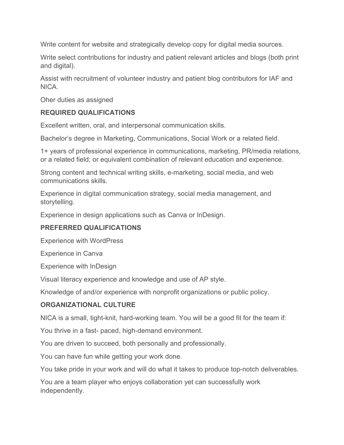Write content for website and strategically develop copy for digital media sources.

Write select contributions for industry and patient relevant articles and blogs (both print and digital).

Assist with recruitment of volunteer industry and patient blog contributors for IAF and NICA.

Oher duties as assigned

#### **REQUIRED QUALIFICATIONS**

Excellent written, oral, and interpersonal communication skills.

Bachelor's degree in Marketing, Communications, Social Work or a related field.

1+ years of professional experience in communications, marketing, PR/media relations, or a related field; or equivalent combination of relevant education and experience.

Strong content and technical writing skills, e-marketing, social media, and web communications skills.

Experience in digital communication strategy, social media management, and storytelling.

Experience in design applications such as Canva or InDesign.

#### **PREFERRED QUALIFICATIONS**

Experience with WordPress

Experience in Canva

Experience with InDesign

Visual literacy experience and knowledge and use of AP style.

Knowledge of and/or experience with nonprofit organizations or public policy.

#### **ORGANIZATIONAL CULTURE**

NICA is a small, tight-knit, hard-working team. You will be a good fit for the team if:

You thrive in a fast- paced, high-demand environment.

You are driven to succeed, both personally and professionally.

You can have fun while getting your work done.

You take pride in your work and will do what it takes to produce top-notch deliverables.

You are a team player who enjoys collaboration yet can successfully work independently.